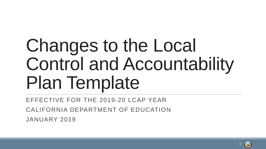# Changes to the Local Control and Accountability Plan Template

EFFECTIVE FOR THE 2019-20 LCAP YEAR CALIFORNIA DEPARTMENT OF EDUCATION JANUARY 2019

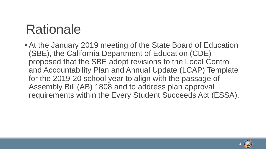# Rationale

•At the January 2019 meeting of the State Board of Education (SBE), the California Department of Education (CDE) proposed that the SBE adopt revisions to the Local Control and Accountability Plan and Annual Update (LCAP) Template for the 2019-20 school year to align with the passage of Assembly Bill (AB) 1808 and to address plan approval requirements within the Every Student Succeeds Act (ESSA).

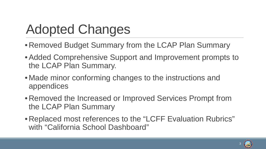# Adopted Changes

- Removed Budget Summary from the LCAP Plan Summary
- •Added Comprehensive Support and Improvement prompts to the LCAP Plan Summary.
- Made minor conforming changes to the instructions and appendices
- Removed the Increased or Improved Services Prompt from the LCAP Plan Summary
- Replaced most references to the "LCFF Evaluation Rubrics" with "California School Dashboard"

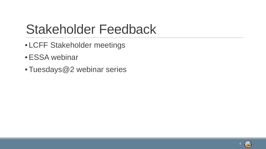# Stakeholder Feedback

- LCFF Stakeholder meetings
- ESSA webinar •
- Tuesdays@2 webinar series •

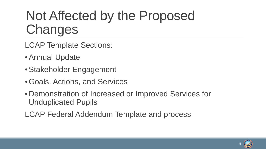# Not Affected by the Proposed Changes

- LCAP Template Sections:
- •Annual Update
- •Stakeholder Engagement
- •Goals, Actions, and Services
- Demonstration of Increased or Improved Services for Unduplicated Pupils

LCAP Federal Addendum Template and process

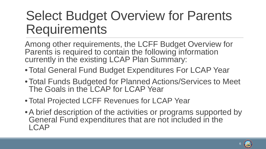# Select Budget Overview for Parents **Requirements**

Among other requirements, the LCFF Budget Overview for Parents is required to contain the following information currently in the existing LCAP Plan Summary:

- •Total General Fund Budget Expenditures For LCAP Year
- •Total Funds Budgeted for Planned Actions/Services to Meet The Goals in the LCAP for LCAP Year
- •Total Projected LCFF Revenues for LCAP Year
- •A brief description of the activities or programs supported by General Fund expenditures that are not included in the LCAP

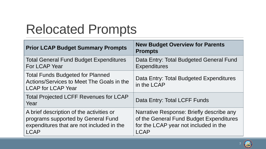# Relocated Prompts

| <b>Prior LCAP Budget Summary Prompts</b>                                                                                                   | <b>New Budget Overview for Parents</b><br><b>Prompts</b>                                                                                    |
|--------------------------------------------------------------------------------------------------------------------------------------------|---------------------------------------------------------------------------------------------------------------------------------------------|
| <b>Total General Fund Budget Expenditures</b><br>For LCAP Year                                                                             | Data Entry: Total Budgeted General Fund<br><b>Expenditures</b>                                                                              |
| <b>Total Funds Budgeted for Planned</b><br>Actions/Services to Meet The Goals in the<br><b>LCAP for LCAP Year</b>                          | Data Entry: Total Budgeted Expenditures<br>in the LCAP                                                                                      |
| <b>Total Projected LCFF Revenues for LCAP</b><br>Year                                                                                      | Data Entry: Total LCFF Funds                                                                                                                |
| A brief description of the activities or<br>programs supported by General Fund<br>expenditures that are not included in the<br><b>LCAP</b> | Narrative Response: Briefly describe any<br>of the General Fund Budget Expenditures<br>for the LCAP year not included in the<br><b>LCAP</b> |

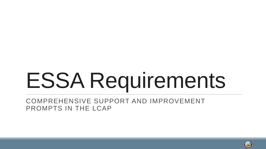# ESSA Requirements

COMPREHENSIVE SUPPORT AND IMPROVEMENT PROMPTS IN THE LCAP

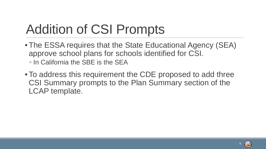# Addition of CSI Prompts

- •The ESSA requires that the State Educational Agency (SEA) approve school plans for schools identified for CSI. ◦ In California the SBE is the SEA
- •To address this requirement the CDE proposed to add three CSI Summary prompts to the Plan Summary section of the LCAP template.

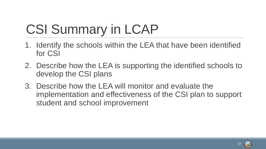# CSI Summary in LCAP

- 1. Identify the schools within the LEA that have been identified for CSI
- 2. Describe how the LEA is supporting the identified schools to develop the CSI plans
- 3. Describe how the LEA will monitor and evaluate the implementation and effectiveness of the CSI plan to support student and school improvement

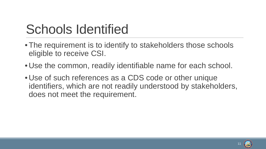# Schools Identified

- The requirement is to identify to stakeholders those schools eligible to receive CSI.
- Use the common, readily identifiable name for each school.
- Use of such references as a CDS code or other unique identifiers, which are not readily understood by stakeholders, does not meet the requirement.

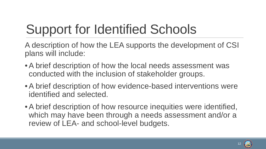# Support for Identified Schools

A description of how the LEA supports the development of CSI plans will include:

- •A brief description of how the local needs assessment was conducted with the inclusion of stakeholder groups.
- •A brief description of how evidence-based interventions were identified and selected.
- •A brief description of how resource inequities were identified, which may have been through a needs assessment and/or a review of LEA- and school-level budgets.

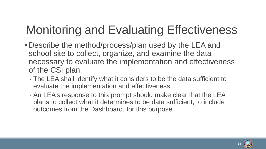# Monitoring and Evaluating Effectiveness

- Describe the method/process/plan used by the LEA and school site to collect, organize, and examine the data necessary to evaluate the implementation and effectiveness of the CSI plan.
	- The LEA shall identify what it considers to be the data sufficient to evaluate the implementation and effectiveness.
	- An LEA's response to this prompt should make clear that the LEA plans to collect what it determines to be data sufficient, to include outcomes from the Dashboard, for this purpose.

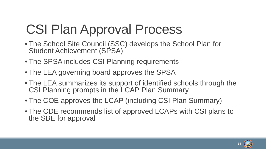# CSI Plan Approval Process

- The School Site Council (SSC) develops the School Plan for Student Achievement (SPSA)
- The SPSA includes CSI Planning requirements
- The LEA governing board approves the SPSA
- The LEA summarizes its support of identified schools through the CSI Planning prompts in the LCAP Plan Summary
- The COE approves the LCAP (including CSI Plan Summary)
- The CDE recommends list of approved LCAPs with CSI plans to the SBE for approval

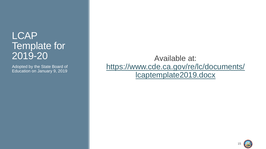### LCAP Template for 2019-20

Adopted by the State Board of Education on January 9, 2019

Available at: [https://www.cde.ca.gov/re/lc/documents/](https://www.cde.ca.gov/re/lc/documents/lcaptemplate2019.docx) lcaptemplate2019.docx

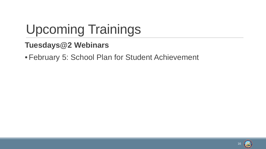# Upcoming Trainings

#### **Tuesdays@2 Webinars**

•February 5: School Plan for Student Achievement